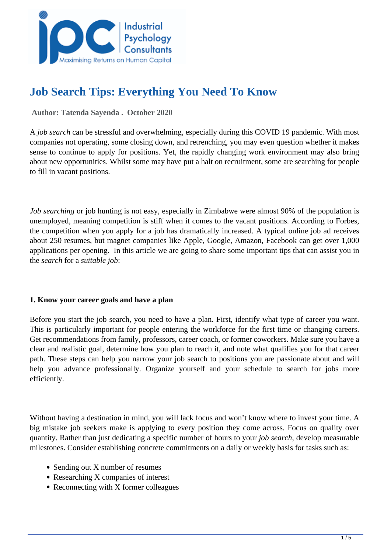

# **Job Search Tips: Everything You Need To Know**

 **Author: Tatenda Sayenda . October 2020** 

A *job search* can be stressful and overwhelming, especially during this COVID 19 pandemic. With most companies not operating, some closing down, and retrenching, you may even question whether it makes sense to continue to apply for positions. Yet, the rapidly changing work environment may also bring about new opportunities. Whilst some may have put a halt on recruitment, some are searching for people to fill in vacant positions.

*Job searching* or job hunting is not easy, especially in Zimbabwe were almost 90% of the population is unemployed, meaning competition is stiff when it comes to the vacant positions. According to Forbes, the competition when you apply for a job has dramatically increased. A typical online job ad receives about 250 resumes, but magnet companies like Apple, Google, Amazon, Facebook can get over 1,000 applications per opening. In this article we are going to share some important tips that can assist you in the *search* for a *suitable job*:

## **1. Know your career goals and have a plan**

Before you start the job search, you need to have a plan. First, identify what type of career you want. This is particularly important for people entering the workforce for the first time or changing careers. Get recommendations from family, professors, career coach, or former coworkers. Make sure you have a clear and realistic goal, determine how you plan to reach it, and note what qualifies you for that career path. These steps can help you narrow your job search to positions you are passionate about and will help you advance professionally. Organize yourself and your schedule to search for jobs more efficiently.

Without having a destination in mind, you will lack focus and won't know where to invest your time. A big mistake job seekers make is applying to every position they come across. Focus on quality over quantity. Rather than just dedicating a specific number of hours to your *job search*, develop measurable milestones. Consider establishing concrete commitments on a daily or weekly basis for tasks such as:

- Sending out X number of resumes
- Researching X companies of interest
- Reconnecting with X former colleagues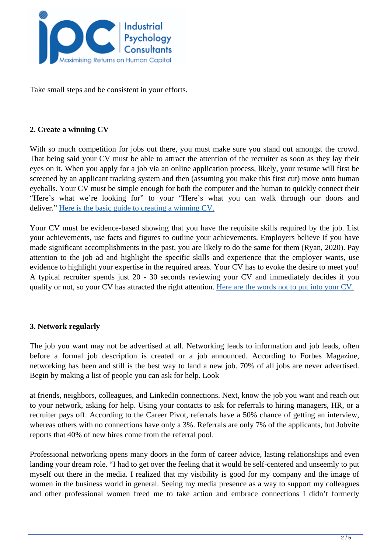

Take small steps and be consistent in your efforts.

#### **2. Create a winning CV**

With so much competition for jobs out there, you must make sure you stand out amongst the crowd. That being said your CV must be able to attract the attention of the recruiter as soon as they lay their eyes on it. When you apply for a job via an online application process, likely, your resume will first be screened by an applicant tracking system and then (assuming you make this first cut) move onto human eyeballs. Your CV must be simple enough for both the computer and the human to quickly connect their "Here's what we're looking for" to your "Here's what you can walk through our doors and deliver." [Here is the basic guide to creating a winning CV.](../articles/A-Basic-Guide-On-How-To-Write-A-CV)

Your CV must be evidence-based showing that you have the requisite skills required by the job. List your achievements, use facts and figures to outline your achievements. Employers believe if you have made significant accomplishments in the past, you are likely to do the same for them (Ryan, 2020). Pay attention to the job ad and highlight the specific skills and experience that the employer wants, use evidence to highlight your expertise in the required areas. Your CV has to evoke the desire to meet you! A typical recruiter spends just 20 - 30 seconds reviewing your CV and immediately decides if you qualify or not, so your CV has attracted the right attention. [Here are the words not to put into your CV.](../articles/How-To-Do-Well-In-That-Virtual-Job-Interview)

## **3. Network regularly**

The job you want may not be advertised at all. Networking leads to information and job leads, often before a formal job description is created or a job announced. According to Forbes Magazine, networking has been and still is the best way to land a new job. 70% of all jobs are never advertised. Begin by making a list of people you can ask for help. Look

at friends, neighbors, colleagues, and LinkedIn connections. Next, know the job you want and reach out to your network, asking for help. Using your contacts to ask for referrals to hiring managers, HR, or a recruiter pays off. According to the Career Pivot, referrals have a 50% chance of getting an interview, whereas others with no connections have only a 3%. Referrals are only 7% of the applicants, but Jobvite reports that 40% of new hires come from the referral pool.

Professional networking opens many doors in the form of career advice, lasting relationships and even landing your dream role. "I had to get over the feeling that it would be self-centered and unseemly to put myself out there in the media. I realized that my visibility is good for my company and the image of women in the business world in general. Seeing my media presence as a way to support my colleagues and other professional women freed me to take action and embrace connections I didn't formerly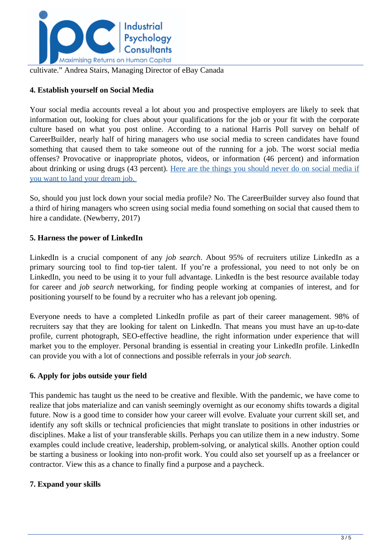

cultivate." Andrea Stairs, Managing Director of eBay Canada

## **4. Establish yourself on Social Media**

Your social media accounts reveal a lot about you and prospective employers are likely to seek that information out, looking for clues about your qualifications for the job or your fit with the corporate culture based on what you post online. According to a national Harris Poll survey on behalf of CareerBuilder, nearly half of hiring managers who use social media to screen candidates have found something that caused them to take someone out of the running for a job. The worst social media offenses? Provocative or inappropriate photos, videos, or information (46 percent) and information about drinking or using drugs (43 percent). [Here are the things you should never do on social media if](../articles/Things-You-Should-Never-Do-On-Social-Media-If-You-Want-To-Land-Your-Dream-Job) [you want to land your dream job.](../articles/Things-You-Should-Never-Do-On-Social-Media-If-You-Want-To-Land-Your-Dream-Job) 

So, should you just lock down your social media profile? No. The CareerBuilder survey also found that a third of hiring managers who screen using social media found something on social that caused them to hire a candidate. (Newberry, 2017)

## **5. Harness the power of LinkedIn**

LinkedIn is a crucial component of any *job search*. About 95% of recruiters utilize LinkedIn as a primary sourcing tool to find top-tier talent. If you're a professional, you need to not only be on LinkedIn, you need to be using it to your full advantage. LinkedIn is the best resource available today for career and *job search* networking, for finding people working at companies of interest, and for positioning yourself to be found by a recruiter who has a relevant job opening.

Everyone needs to have a completed LinkedIn profile as part of their career management. 98% of recruiters say that they are looking for talent on LinkedIn. That means you must have an up-to-date profile, current photograph, SEO-effective headline, the right information under experience that will market you to the employer. Personal branding is essential in creating your LinkedIn profile. LinkedIn can provide you with a lot of connections and possible referrals in your *job search*.

## **6. Apply for jobs outside your field**

This pandemic has taught us the need to be creative and flexible. With the pandemic, we have come to realize that jobs materialize and can vanish seemingly overnight as our economy shifts towards a digital future. Now is a good time to consider how your career will evolve. Evaluate your current skill set, and identify any soft skills or technical proficiencies that might translate to positions in other industries or disciplines. Make a list of your transferable skills. Perhaps you can utilize them in a new industry. Some examples could include creative, leadership, problem-solving, or analytical skills. Another option could be starting a business or looking into non-profit work. You could also set yourself up as a freelancer or contractor. View this as a chance to finally find a purpose and a paycheck.

## **7. Expand your skills**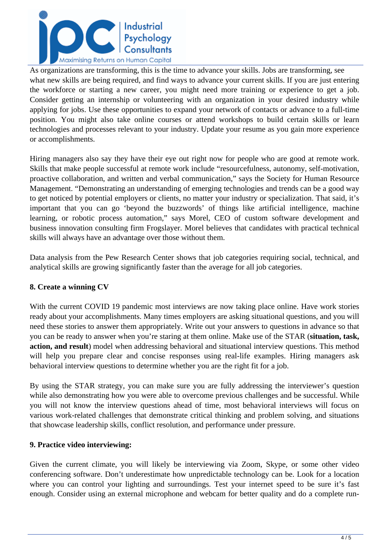

As organizations are transforming, this is the time to advance your skills. Jobs are transforming, see what new skills are being required, and find ways to advance your current skills. If you are just entering the workforce or starting a new career, you might need more training or experience to get a job. Consider getting an internship or volunteering with an organization in your desired industry while applying for jobs. Use these opportunities to expand your network of contacts or advance to a full-time position. You might also take online courses or attend workshops to build certain skills or learn technologies and processes relevant to your industry. Update your resume as you gain more experience or accomplishments.

Hiring managers also say they have their eye out right now for people who are good at remote work. Skills that make people successful at remote work include "resourcefulness, autonomy, self-motivation, proactive collaboration, and written and verbal communication," says the Society for Human Resource Management. "Demonstrating an understanding of emerging technologies and trends can be a good way to get noticed by potential employers or clients, no matter your industry or specialization. That said, it's important that you can go 'beyond the buzzwords' of things like artificial intelligence, machine learning, or robotic process automation," says Morel, CEO of custom software development and business innovation consulting firm Frogslayer. Morel believes that candidates with practical technical skills will always have an advantage over those without them.

Data analysis from the Pew Research Center shows that job categories requiring social, technical, and analytical skills are growing significantly faster than the average for all job categories.

## **8. Create a winning CV**

With the current COVID 19 pandemic most interviews are now taking place online. Have work stories ready about your accomplishments. Many times employers are asking situational questions, and you will need these stories to answer them appropriately. Write out your answers to questions in advance so that you can be ready to answer when you're staring at them online. Make use of the STAR (**situation, task, action, and result**) model when addressing behavioral and situational interview questions. This method will help you prepare clear and concise responses using real-life examples. Hiring managers ask behavioral interview questions to determine whether you are the right fit for a job.

By using the STAR strategy, you can make sure you are fully addressing the interviewer's question while also demonstrating how you were able to overcome previous challenges and be successful. While you will not know the interview questions ahead of time, most behavioral interviews will focus on various work-related challenges that demonstrate critical thinking and problem solving, and situations that showcase leadership skills, conflict resolution, and performance under pressure.

## **9. Practice video interviewing:**

Given the current climate, you will likely be interviewing via Zoom, Skype, or some other video conferencing software. Don't underestimate how unpredictable technology can be. Look for a location where you can control your lighting and surroundings. Test your internet speed to be sure it's fast enough. Consider using an external microphone and webcam for better quality and do a complete run-